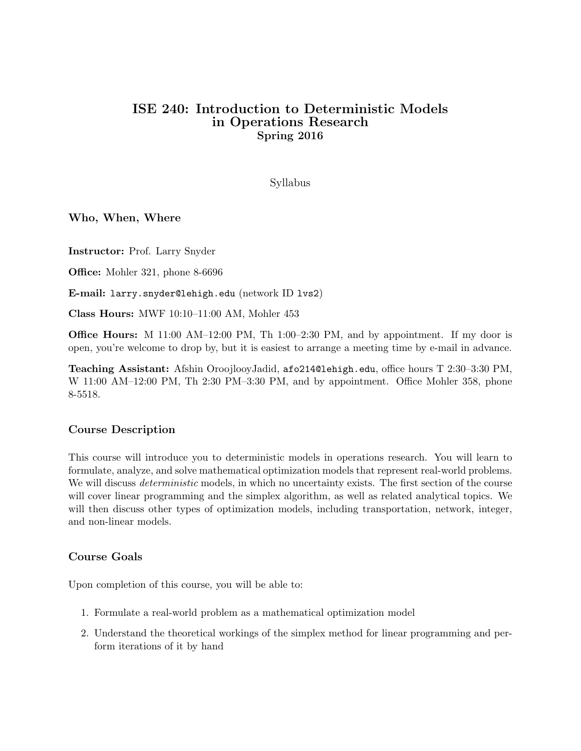# ISE 240: Introduction to Deterministic Models in Operations Research Spring 2016

Syllabus

#### Who, When, Where

Instructor: Prof. Larry Snyder

Office: Mohler 321, phone 8-6696

E-mail: larry.snyder@lehigh.edu (network ID lvs2)

Class Hours: MWF 10:10–11:00 AM, Mohler 453

Office Hours: M 11:00 AM–12:00 PM, Th 1:00–2:30 PM, and by appointment. If my door is open, you're welcome to drop by, but it is easiest to arrange a meeting time by e-mail in advance.

Teaching Assistant: Afshin OroojlooyJadid, afo214@lehigh.edu, office hours T 2:30–3:30 PM, W 11:00 AM–12:00 PM, Th 2:30 PM–3:30 PM, and by appointment. Office Mohler 358, phone 8-5518.

#### Course Description

This course will introduce you to deterministic models in operations research. You will learn to formulate, analyze, and solve mathematical optimization models that represent real-world problems. We will discuss *deterministic* models, in which no uncertainty exists. The first section of the course will cover linear programming and the simplex algorithm, as well as related analytical topics. We will then discuss other types of optimization models, including transportation, network, integer, and non-linear models.

#### Course Goals

Upon completion of this course, you will be able to:

- 1. Formulate a real-world problem as a mathematical optimization model
- 2. Understand the theoretical workings of the simplex method for linear programming and perform iterations of it by hand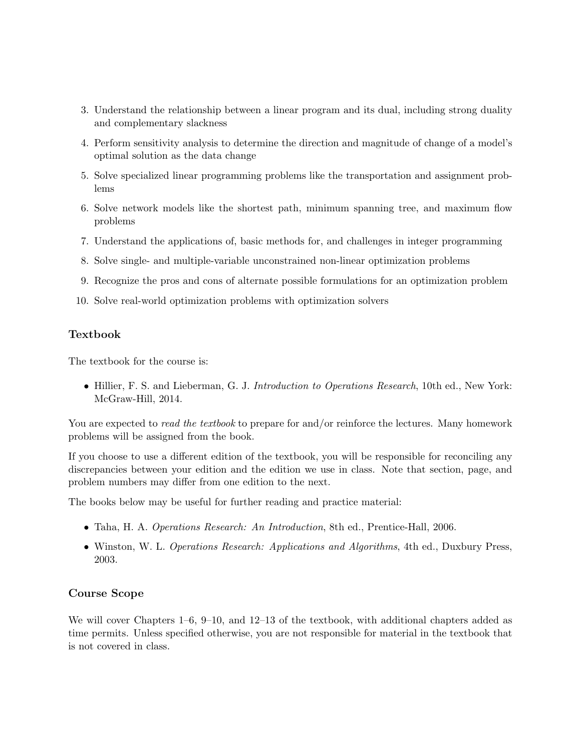- 3. Understand the relationship between a linear program and its dual, including strong duality and complementary slackness
- 4. Perform sensitivity analysis to determine the direction and magnitude of change of a model's optimal solution as the data change
- 5. Solve specialized linear programming problems like the transportation and assignment problems
- 6. Solve network models like the shortest path, minimum spanning tree, and maximum flow problems
- 7. Understand the applications of, basic methods for, and challenges in integer programming
- 8. Solve single- and multiple-variable unconstrained non-linear optimization problems
- 9. Recognize the pros and cons of alternate possible formulations for an optimization problem
- 10. Solve real-world optimization problems with optimization solvers

## Textbook

The textbook for the course is:

• Hillier, F. S. and Lieberman, G. J. Introduction to Operations Research, 10th ed., New York: McGraw-Hill, 2014.

You are expected to *read the textbook* to prepare for and/or reinforce the lectures. Many homework problems will be assigned from the book.

If you choose to use a different edition of the textbook, you will be responsible for reconciling any discrepancies between your edition and the edition we use in class. Note that section, page, and problem numbers may differ from one edition to the next.

The books below may be useful for further reading and practice material:

- Taha, H. A. Operations Research: An Introduction, 8th ed., Prentice-Hall, 2006.
- Winston, W. L. Operations Research: Applications and Algorithms, 4th ed., Duxbury Press, 2003.

#### Course Scope

We will cover Chapters 1–6, 9–10, and 12–13 of the textbook, with additional chapters added as time permits. Unless specified otherwise, you are not responsible for material in the textbook that is not covered in class.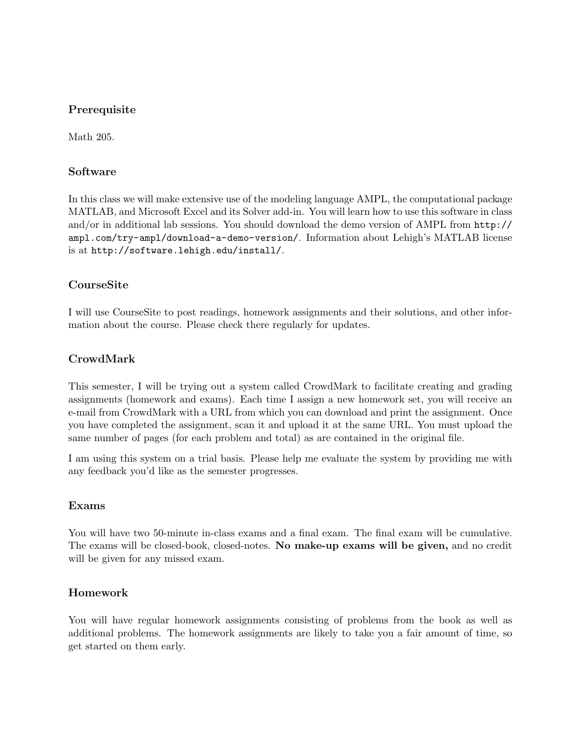## Prerequisite

Math 205.

### Software

In this class we will make extensive use of the modeling language AMPL, the computational package MATLAB, and Microsoft Excel and its Solver add-in. You will learn how to use this software in class and/or in additional lab sessions. You should download the demo version of AMPL from http:// ampl.com/try-ampl/download-a-demo-version/. Information about Lehigh's MATLAB license is at http://software.lehigh.edu/install/.

## CourseSite

I will use CourseSite to post readings, homework assignments and their solutions, and other information about the course. Please check there regularly for updates.

## CrowdMark

This semester, I will be trying out a system called CrowdMark to facilitate creating and grading assignments (homework and exams). Each time I assign a new homework set, you will receive an e-mail from CrowdMark with a URL from which you can download and print the assignment. Once you have completed the assignment, scan it and upload it at the same URL. You must upload the same number of pages (for each problem and total) as are contained in the original file.

I am using this system on a trial basis. Please help me evaluate the system by providing me with any feedback you'd like as the semester progresses.

#### Exams

You will have two 50-minute in-class exams and a final exam. The final exam will be cumulative. The exams will be closed-book, closed-notes. No make-up exams will be given, and no credit will be given for any missed exam.

## Homework

You will have regular homework assignments consisting of problems from the book as well as additional problems. The homework assignments are likely to take you a fair amount of time, so get started on them early.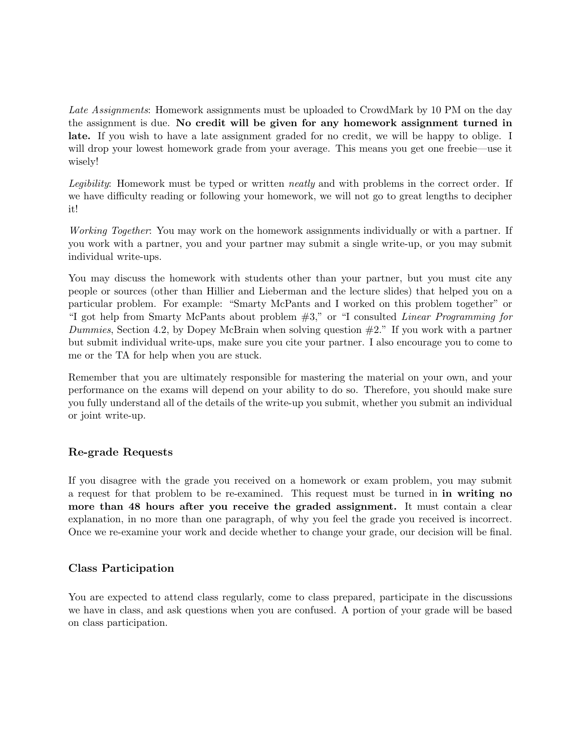Late Assignments: Homework assignments must be uploaded to CrowdMark by 10 PM on the day the assignment is due. No credit will be given for any homework assignment turned in late. If you wish to have a late assignment graded for no credit, we will be happy to oblige. I will drop your lowest homework grade from your average. This means you get one freebie—use it wisely!

Legibility: Homework must be typed or written neatly and with problems in the correct order. If we have difficulty reading or following your homework, we will not go to great lengths to decipher it!

Working Together: You may work on the homework assignments individually or with a partner. If you work with a partner, you and your partner may submit a single write-up, or you may submit individual write-ups.

You may discuss the homework with students other than your partner, but you must cite any people or sources (other than Hillier and Lieberman and the lecture slides) that helped you on a particular problem. For example: "Smarty McPants and I worked on this problem together" or "I got help from Smarty McPants about problem #3," or "I consulted Linear Programming for Dummies, Section 4.2, by Dopey McBrain when solving question  $#2$ ." If you work with a partner but submit individual write-ups, make sure you cite your partner. I also encourage you to come to me or the TA for help when you are stuck.

Remember that you are ultimately responsible for mastering the material on your own, and your performance on the exams will depend on your ability to do so. Therefore, you should make sure you fully understand all of the details of the write-up you submit, whether you submit an individual or joint write-up.

## Re-grade Requests

If you disagree with the grade you received on a homework or exam problem, you may submit a request for that problem to be re-examined. This request must be turned in in writing no more than 48 hours after you receive the graded assignment. It must contain a clear explanation, in no more than one paragraph, of why you feel the grade you received is incorrect. Once we re-examine your work and decide whether to change your grade, our decision will be final.

#### Class Participation

You are expected to attend class regularly, come to class prepared, participate in the discussions we have in class, and ask questions when you are confused. A portion of your grade will be based on class participation.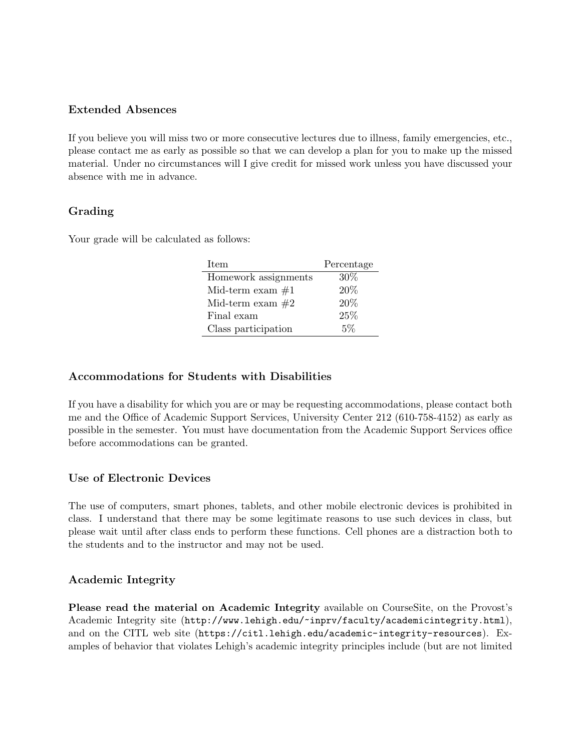## Extended Absences

If you believe you will miss two or more consecutive lectures due to illness, family emergencies, etc., please contact me as early as possible so that we can develop a plan for you to make up the missed material. Under no circumstances will I give credit for missed work unless you have discussed your absence with me in advance.

# Grading

Your grade will be calculated as follows:

| Item                 | Percentage |  |
|----------------------|------------|--|
| Homework assignments | 30%        |  |
| Mid-term exam $#1$   | 20%        |  |
| Mid-term exam $#2$   | 20%        |  |
| Final exam           | 25%        |  |
| Class participation  | $5\%$      |  |

## Accommodations for Students with Disabilities

If you have a disability for which you are or may be requesting accommodations, please contact both me and the Office of Academic Support Services, University Center 212 (610-758-4152) as early as possible in the semester. You must have documentation from the Academic Support Services office before accommodations can be granted.

# Use of Electronic Devices

The use of computers, smart phones, tablets, and other mobile electronic devices is prohibited in class. I understand that there may be some legitimate reasons to use such devices in class, but please wait until after class ends to perform these functions. Cell phones are a distraction both to the students and to the instructor and may not be used.

# Academic Integrity

Please read the material on Academic Integrity available on CourseSite, on the Provost's Academic Integrity site (http://www.lehigh.edu/~inprv/faculty/academicintegrity.html), and on the CITL web site (https://citl.lehigh.edu/academic-integrity-resources). Examples of behavior that violates Lehigh's academic integrity principles include (but are not limited